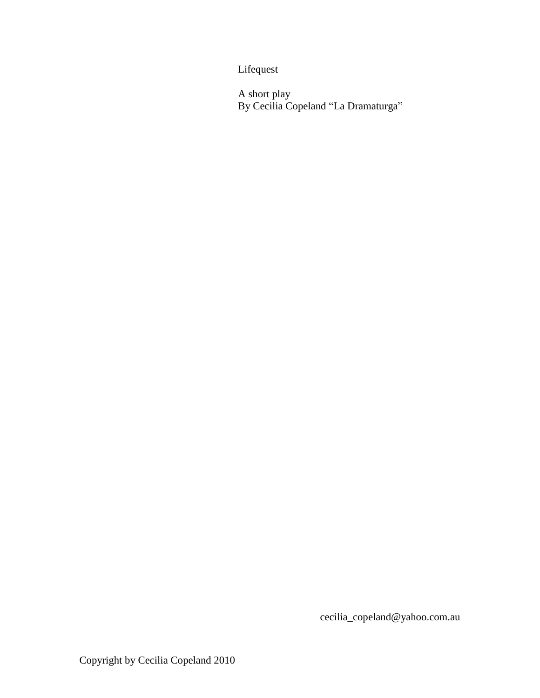Lifequest

A short play By Cecilia Copeland "La Dramaturga"

cecilia\_copeland@yahoo.com.au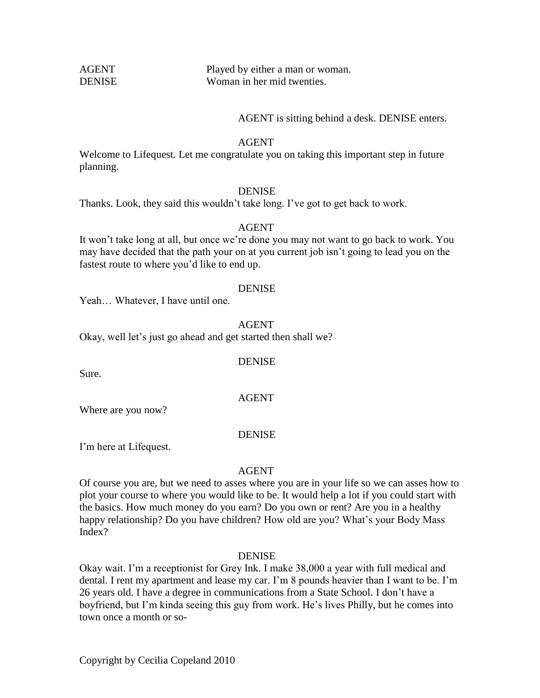| <b>AGENT</b> |  |
|--------------|--|
| DENISE       |  |

Played by either a man or woman. Woman in her mid twenties.

## AGENT is sitting behind a desk. DENISE enters.

## AGENT

Welcome to Lifequest. Let me congratulate you on taking this important step in future planning.

# DENISE

Thanks. Look, they said this wouldn't take long. I've got to get back to work.

## AGENT

It won't take long at all, but once we're done you may not want to go back to work. You may have decided that the path your on at you current job isn't going to lead you on the fastest route to where you'd like to end up.

#### DENISE

Yeah… Whatever, I have until one.

AGENT

Okay, well let's just go ahead and get started then shall we?

**DENISE** 

AGENT

Sure.

Where are you now?

## **DENISE**

I'm here at Lifequest.

## AGENT

Of course you are, but we need to asses where you are in your life so we can asses how to plot your course to where you would like to be. It would help a lot if you could start with the basics. How much money do you earn? Do you own or rent? Are you in a healthy happy relationship? Do you have children? How old are you? What's your Body Mass Index?

## DENISE

Okay wait. I'm a receptionist for Grey Ink. I make 38,000 a year with full medical and dental. I rent my apartment and lease my car. I'm 8 pounds heavier than I want to be. I'm 26 years old. I have a degree in communications from a State School. I don't have a boyfriend, but I'm kinda seeing this guy from work. He's lives Philly, but he comes into town once a month or so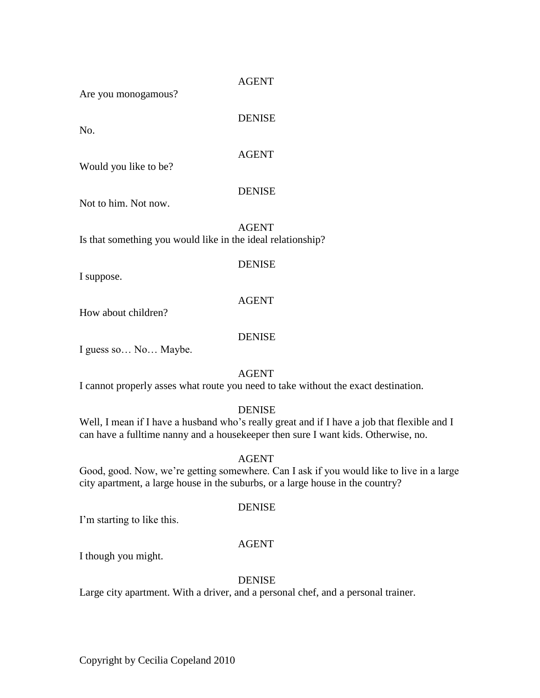Are you monogamous?

No.

DENISE

# AGENT

Would you like to be?

# DENISE

Not to him. Not now.

AGENT Is that something you would like in the ideal relationship?

I suppose.

# DENISE

# AGENT

How about children?

# DENISE

I guess so… No… Maybe.

# AGENT

I cannot properly asses what route you need to take without the exact destination.

# DENISE

Well, I mean if I have a husband who's really great and if I have a job that flexible and I can have a fulltime nanny and a housekeeper then sure I want kids. Otherwise, no.

# AGENT

Good, good. Now, we're getting somewhere. Can I ask if you would like to live in a large city apartment, a large house in the suburbs, or a large house in the country?

## DENISE

I'm starting to like this.

# AGENT

I though you might.

## **DENISE**

Large city apartment. With a driver, and a personal chef, and a personal trainer.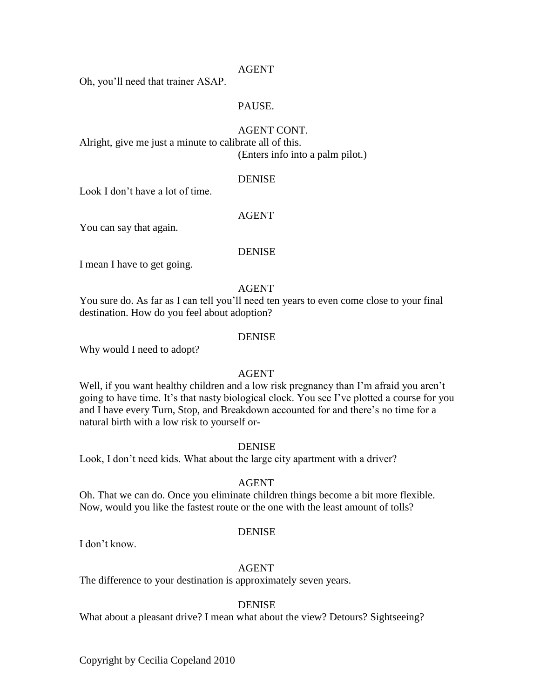## AGENT

Oh, you'll need that trainer ASAP.

## PAUSE.

#### AGENT CONT.

Alright, give me just a minute to calibrate all of this. (Enters info into a palm pilot.)

#### DENISE

Look I don't have a lot of time.

#### AGENT

You can say that again.

#### **DENISE**

I mean I have to get going.

#### AGENT

You sure do. As far as I can tell you'll need ten years to even come close to your final destination. How do you feel about adoption?

#### **DENISE**

Why would I need to adopt?

## AGENT

Well, if you want healthy children and a low risk pregnancy than I'm afraid you aren't going to have time. It's that nasty biological clock. You see I've plotted a course for you and I have every Turn, Stop, and Breakdown accounted for and there's no time for a natural birth with a low risk to yourself or-

#### DENISE

Look, I don't need kids. What about the large city apartment with a driver?

#### AGENT

Oh. That we can do. Once you eliminate children things become a bit more flexible. Now, would you like the fastest route or the one with the least amount of tolls?

#### DENISE

I don't know.

## AGENT

The difference to your destination is approximately seven years.

#### DENISE

What about a pleasant drive? I mean what about the view? Detours? Sightseeing?

Copyright by Cecilia Copeland 2010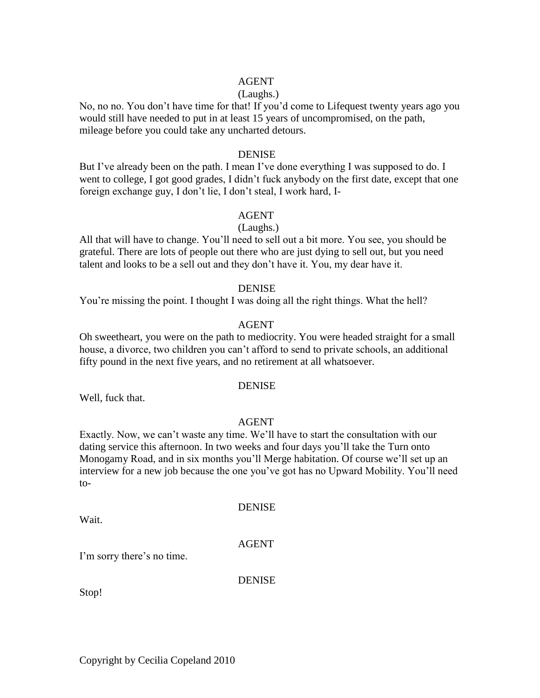## AGENT

## (Laughs.)

No, no no. You don't have time for that! If you'd come to Lifequest twenty years ago you would still have needed to put in at least 15 years of uncompromised, on the path, mileage before you could take any uncharted detours.

## DENISE

But I've already been on the path. I mean I've done everything I was supposed to do. I went to college, I got good grades, I didn't fuck anybody on the first date, except that one foreign exchange guy, I don't lie, I don't steal, I work hard, I-

## AGENT

## (Laughs.)

All that will have to change. You'll need to sell out a bit more. You see, you should be grateful. There are lots of people out there who are just dying to sell out, but you need talent and looks to be a sell out and they don't have it. You, my dear have it.

#### DENISE

You're missing the point. I thought I was doing all the right things. What the hell?

#### AGENT

Oh sweetheart, you were on the path to mediocrity. You were headed straight for a small house, a divorce, two children you can't afford to send to private schools, an additional fifty pound in the next five years, and no retirement at all whatsoever.

#### DENISE

Well, fuck that.

#### AGENT

Exactly. Now, we can't waste any time. We'll have to start the consultation with our dating service this afternoon. In two weeks and four days you'll take the Turn onto Monogamy Road, and in six months you'll Merge habitation. Of course we'll set up an interview for a new job because the one you've got has no Upward Mobility. You'll need to-

Wait.

# DENISE

#### AGENT

I'm sorry there's no time.

**DENISE** 

Stop!